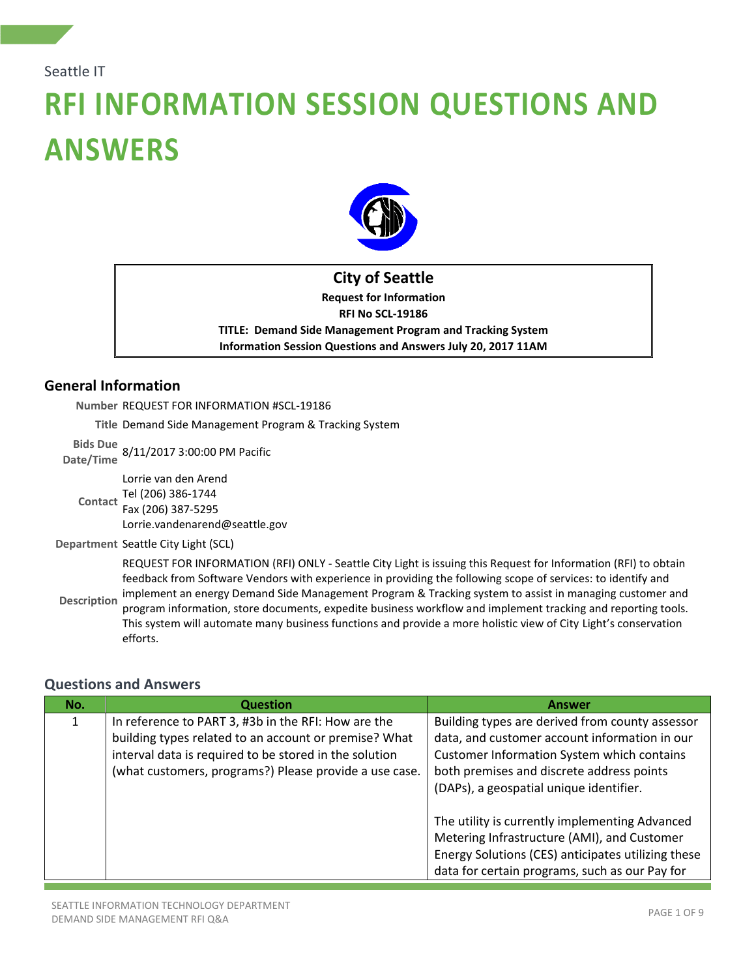#### Seattle IT

# **RFI INFORMATION SESSION QUESTIONS AND ANSWERS**



# **City of Seattle Request for Information RFI No SCL-19186 TITLE: Demand Side Management Program and Tracking System Information Session Questions and Answers July 20, 2017 11AM**

## **General Information**

**Number** REQUEST FOR INFORMATION #SCL-19186

**Title** Demand Side Management Program & Tracking System

**Bids Due Date/Time** 8/11/2017 3:00:00 PM Pacific

Tel (206) 386-1744<br>Contact <sub>Fox</sub> (206) 287 F205 Lorrie van den Arend Fax (206) 387-5295 Lorrie.vandenarend@seattle.gov

**Department** Seattle City Light (SCL)

**Description** REQUEST FOR INFORMATION (RFI) ONLY - Seattle City Light is issuing this Request for Information (RFI) to obtain feedback from Software Vendors with experience in providing the following scope of services: to identify and implement an energy Demand Side Management Program & Tracking system to assist in managing customer and program information, store documents, expedite business workflow and implement tracking and reporting tools. This system will automate many business functions and provide a more holistic view of City Light's conservation efforts.

### **Questions and Answers**

| No. | <b>Question</b>                                                                                                                                                        | <b>Answer</b>                                                                                                                                         |
|-----|------------------------------------------------------------------------------------------------------------------------------------------------------------------------|-------------------------------------------------------------------------------------------------------------------------------------------------------|
|     | In reference to PART 3, #3b in the RFI: How are the<br>building types related to an account or premise? What<br>interval data is required to be stored in the solution | Building types are derived from county assessor<br>data, and customer account information in our<br><b>Customer Information System which contains</b> |
|     | (what customers, programs?) Please provide a use case.                                                                                                                 | both premises and discrete address points<br>(DAPs), a geospatial unique identifier.                                                                  |
|     |                                                                                                                                                                        | The utility is currently implementing Advanced<br>Metering Infrastructure (AMI), and Customer                                                         |
|     |                                                                                                                                                                        | Energy Solutions (CES) anticipates utilizing these<br>data for certain programs, such as our Pay for                                                  |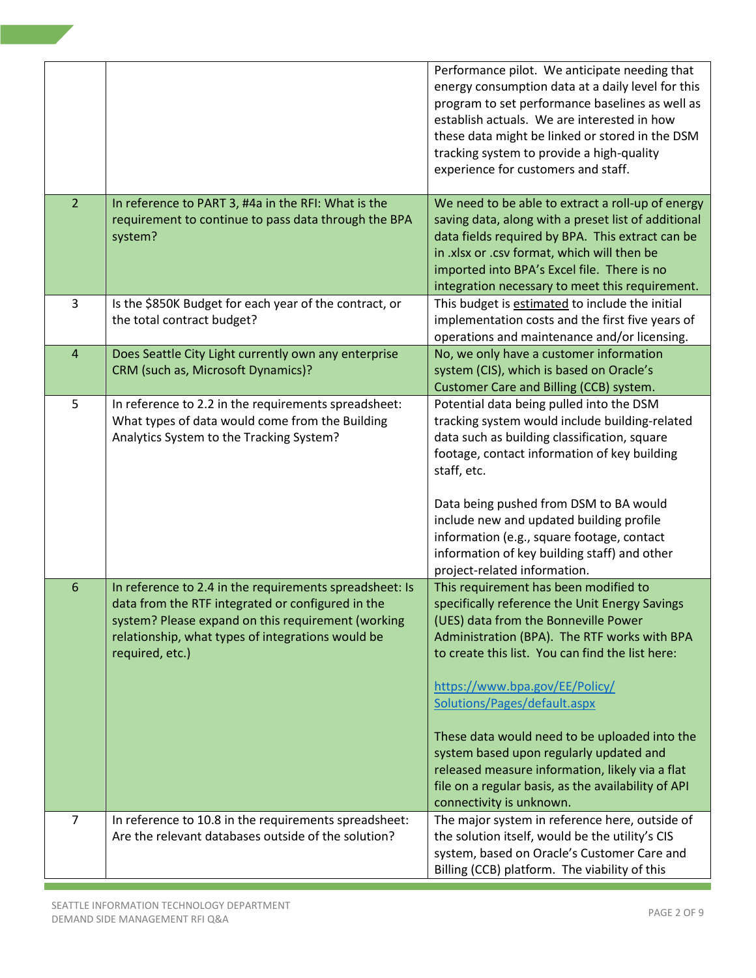|                 |                                                         | Performance pilot. We anticipate needing that       |
|-----------------|---------------------------------------------------------|-----------------------------------------------------|
|                 |                                                         | energy consumption data at a daily level for this   |
|                 |                                                         | program to set performance baselines as well as     |
|                 |                                                         | establish actuals. We are interested in how         |
|                 |                                                         | these data might be linked or stored in the DSM     |
|                 |                                                         | tracking system to provide a high-quality           |
|                 |                                                         | experience for customers and staff.                 |
|                 |                                                         |                                                     |
| $\overline{2}$  | In reference to PART 3, #4a in the RFI: What is the     | We need to be able to extract a roll-up of energy   |
|                 | requirement to continue to pass data through the BPA    | saving data, along with a preset list of additional |
|                 | system?                                                 | data fields required by BPA. This extract can be    |
|                 |                                                         | in .xlsx or .csv format, which will then be         |
|                 |                                                         | imported into BPA's Excel file. There is no         |
|                 |                                                         | integration necessary to meet this requirement.     |
| 3               | Is the \$850K Budget for each year of the contract, or  | This budget is estimated to include the initial     |
|                 | the total contract budget?                              | implementation costs and the first five years of    |
|                 |                                                         | operations and maintenance and/or licensing.        |
|                 |                                                         |                                                     |
| 4               | Does Seattle City Light currently own any enterprise    | No, we only have a customer information             |
|                 | CRM (such as, Microsoft Dynamics)?                      | system (CIS), which is based on Oracle's            |
|                 |                                                         | Customer Care and Billing (CCB) system.             |
| 5               | In reference to 2.2 in the requirements spreadsheet:    | Potential data being pulled into the DSM            |
|                 | What types of data would come from the Building         | tracking system would include building-related      |
|                 | Analytics System to the Tracking System?                | data such as building classification, square        |
|                 |                                                         | footage, contact information of key building        |
|                 |                                                         | staff, etc.                                         |
|                 |                                                         |                                                     |
|                 |                                                         | Data being pushed from DSM to BA would              |
|                 |                                                         | include new and updated building profile            |
|                 |                                                         | information (e.g., square footage, contact          |
|                 |                                                         | information of key building staff) and other        |
|                 |                                                         | project-related information.                        |
| $6\phantom{1}6$ | In reference to 2.4 in the requirements spreadsheet: Is | This requirement has been modified to               |
|                 | data from the RTF integrated or configured in the       | specifically reference the Unit Energy Savings      |
|                 | system? Please expand on this requirement (working      | (UES) data from the Bonneville Power                |
|                 | relationship, what types of integrations would be       | Administration (BPA). The RTF works with BPA        |
|                 | required, etc.)                                         | to create this list. You can find the list here:    |
|                 |                                                         |                                                     |
|                 |                                                         | https://www.bpa.gov/EE/Policy/                      |
|                 |                                                         | Solutions/Pages/default.aspx                        |
|                 |                                                         |                                                     |
|                 |                                                         | These data would need to be uploaded into the       |
|                 |                                                         | system based upon regularly updated and             |
|                 |                                                         | released measure information, likely via a flat     |
|                 |                                                         | file on a regular basis, as the availability of API |
|                 |                                                         |                                                     |
| $\overline{7}$  |                                                         | connectivity is unknown.                            |
|                 | In reference to 10.8 in the requirements spreadsheet:   | The major system in reference here, outside of      |
|                 | Are the relevant databases outside of the solution?     | the solution itself, would be the utility's CIS     |
|                 |                                                         | system, based on Oracle's Customer Care and         |
|                 |                                                         | Billing (CCB) platform. The viability of this       |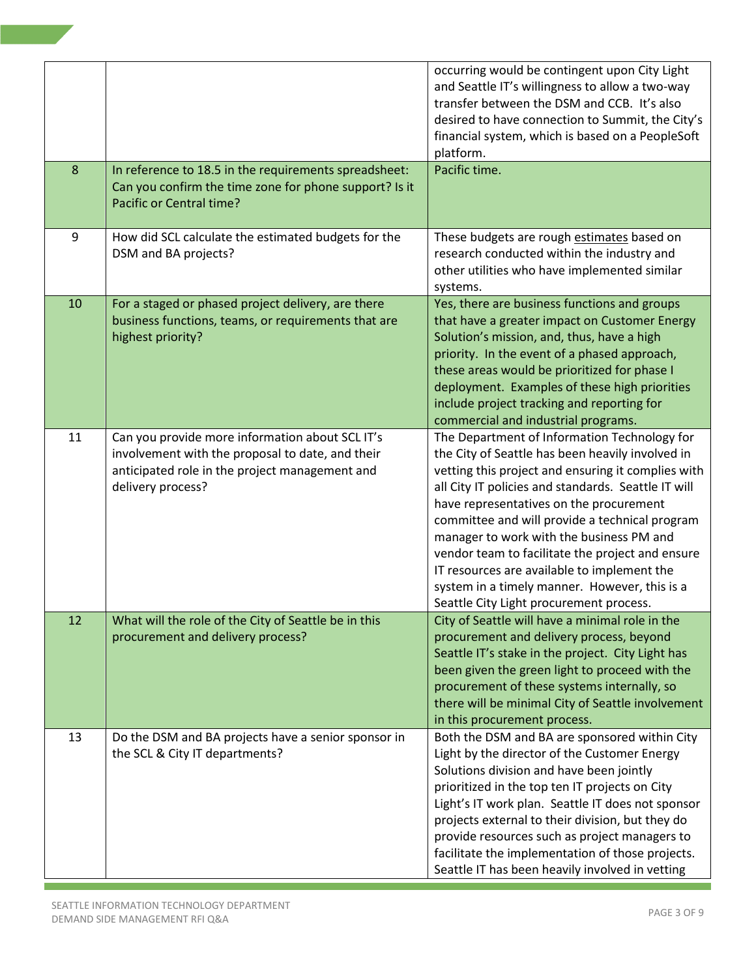| 8  |                                                                                                                                                                            | occurring would be contingent upon City Light<br>and Seattle IT's willingness to allow a two-way<br>transfer between the DSM and CCB. It's also<br>desired to have connection to Summit, the City's<br>financial system, which is based on a PeopleSoft<br>platform.<br>Pacific time.                                                                                                                                                                                                                                                                 |
|----|----------------------------------------------------------------------------------------------------------------------------------------------------------------------------|-------------------------------------------------------------------------------------------------------------------------------------------------------------------------------------------------------------------------------------------------------------------------------------------------------------------------------------------------------------------------------------------------------------------------------------------------------------------------------------------------------------------------------------------------------|
|    | In reference to 18.5 in the requirements spreadsheet:<br>Can you confirm the time zone for phone support? Is it<br>Pacific or Central time?                                |                                                                                                                                                                                                                                                                                                                                                                                                                                                                                                                                                       |
| 9  | How did SCL calculate the estimated budgets for the<br>DSM and BA projects?                                                                                                | These budgets are rough estimates based on<br>research conducted within the industry and<br>other utilities who have implemented similar<br>systems.                                                                                                                                                                                                                                                                                                                                                                                                  |
| 10 | For a staged or phased project delivery, are there<br>business functions, teams, or requirements that are<br>highest priority?                                             | Yes, there are business functions and groups<br>that have a greater impact on Customer Energy<br>Solution's mission, and, thus, have a high<br>priority. In the event of a phased approach,<br>these areas would be prioritized for phase I<br>deployment. Examples of these high priorities<br>include project tracking and reporting for<br>commercial and industrial programs.                                                                                                                                                                     |
| 11 | Can you provide more information about SCL IT's<br>involvement with the proposal to date, and their<br>anticipated role in the project management and<br>delivery process? | The Department of Information Technology for<br>the City of Seattle has been heavily involved in<br>vetting this project and ensuring it complies with<br>all City IT policies and standards. Seattle IT will<br>have representatives on the procurement<br>committee and will provide a technical program<br>manager to work with the business PM and<br>vendor team to facilitate the project and ensure<br>IT resources are available to implement the<br>system in a timely manner. However, this is a<br>Seattle City Light procurement process. |
| 12 | What will the role of the City of Seattle be in this<br>procurement and delivery process?                                                                                  | City of Seattle will have a minimal role in the<br>procurement and delivery process, beyond<br>Seattle IT's stake in the project. City Light has<br>been given the green light to proceed with the<br>procurement of these systems internally, so<br>there will be minimal City of Seattle involvement<br>in this procurement process.                                                                                                                                                                                                                |
| 13 | Do the DSM and BA projects have a senior sponsor in<br>the SCL & City IT departments?                                                                                      | Both the DSM and BA are sponsored within City<br>Light by the director of the Customer Energy<br>Solutions division and have been jointly<br>prioritized in the top ten IT projects on City<br>Light's IT work plan. Seattle IT does not sponsor<br>projects external to their division, but they do<br>provide resources such as project managers to<br>facilitate the implementation of those projects.<br>Seattle IT has been heavily involved in vetting                                                                                          |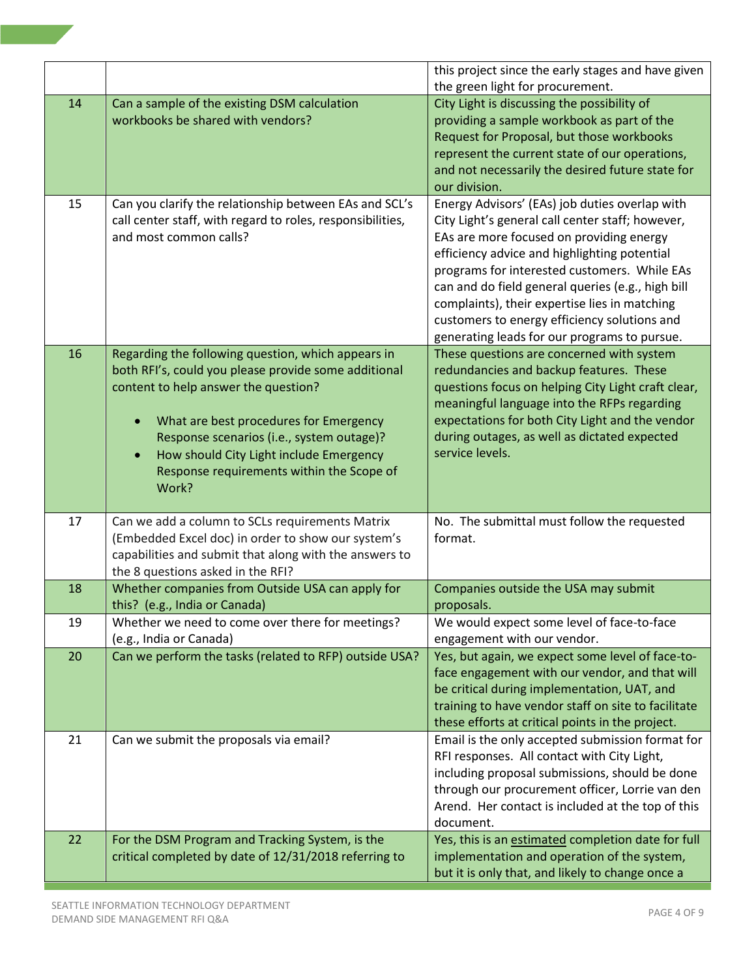|    |                                                                                                            | this project since the early stages and have given                                   |
|----|------------------------------------------------------------------------------------------------------------|--------------------------------------------------------------------------------------|
|    |                                                                                                            | the green light for procurement.                                                     |
| 14 | Can a sample of the existing DSM calculation                                                               | City Light is discussing the possibility of                                          |
|    | workbooks be shared with vendors?                                                                          | providing a sample workbook as part of the                                           |
|    |                                                                                                            | Request for Proposal, but those workbooks                                            |
|    |                                                                                                            | represent the current state of our operations,                                       |
|    |                                                                                                            | and not necessarily the desired future state for                                     |
|    |                                                                                                            | our division.                                                                        |
| 15 | Can you clarify the relationship between EAs and SCL's                                                     | Energy Advisors' (EAs) job duties overlap with                                       |
|    | call center staff, with regard to roles, responsibilities,                                                 | City Light's general call center staff; however,                                     |
|    | and most common calls?                                                                                     | EAs are more focused on providing energy                                             |
|    |                                                                                                            | efficiency advice and highlighting potential                                         |
|    |                                                                                                            | programs for interested customers. While EAs                                         |
|    |                                                                                                            | can and do field general queries (e.g., high bill                                    |
|    |                                                                                                            | complaints), their expertise lies in matching                                        |
|    |                                                                                                            | customers to energy efficiency solutions and                                         |
|    |                                                                                                            | generating leads for our programs to pursue.                                         |
| 16 | Regarding the following question, which appears in<br>both RFI's, could you please provide some additional | These questions are concerned with system<br>redundancies and backup features. These |
|    | content to help answer the question?                                                                       | questions focus on helping City Light craft clear,                                   |
|    |                                                                                                            | meaningful language into the RFPs regarding                                          |
|    | What are best procedures for Emergency<br>$\bullet$                                                        | expectations for both City Light and the vendor                                      |
|    | Response scenarios (i.e., system outage)?                                                                  | during outages, as well as dictated expected                                         |
|    | How should City Light include Emergency<br>$\bullet$                                                       | service levels.                                                                      |
|    | Response requirements within the Scope of                                                                  |                                                                                      |
|    | Work?                                                                                                      |                                                                                      |
|    |                                                                                                            |                                                                                      |
| 17 | Can we add a column to SCLs requirements Matrix                                                            | No. The submittal must follow the requested                                          |
|    | (Embedded Excel doc) in order to show our system's                                                         | format.                                                                              |
|    | capabilities and submit that along with the answers to                                                     |                                                                                      |
|    | the 8 questions asked in the RFI?                                                                          |                                                                                      |
| 18 | Whether companies from Outside USA can apply for                                                           | Companies outside the USA may submit                                                 |
|    | this? (e.g., India or Canada)                                                                              | proposals.                                                                           |
| 19 | Whether we need to come over there for meetings?                                                           | We would expect some level of face-to-face                                           |
| 20 | (e.g., India or Canada)<br>Can we perform the tasks (related to RFP) outside USA?                          | engagement with our vendor.<br>Yes, but again, we expect some level of face-to-      |
|    |                                                                                                            | face engagement with our vendor, and that will                                       |
|    |                                                                                                            | be critical during implementation, UAT, and                                          |
|    |                                                                                                            | training to have vendor staff on site to facilitate                                  |
|    |                                                                                                            | these efforts at critical points in the project.                                     |
| 21 | Can we submit the proposals via email?                                                                     | Email is the only accepted submission format for                                     |
|    |                                                                                                            | RFI responses. All contact with City Light,                                          |
|    |                                                                                                            | including proposal submissions, should be done                                       |
|    |                                                                                                            | through our procurement officer, Lorrie van den                                      |
|    |                                                                                                            | Arend. Her contact is included at the top of this                                    |
|    |                                                                                                            | document.                                                                            |
| 22 | For the DSM Program and Tracking System, is the                                                            | Yes, this is an estimated completion date for full                                   |
|    | critical completed by date of 12/31/2018 referring to                                                      | implementation and operation of the system,                                          |
|    |                                                                                                            | but it is only that, and likely to change once a                                     |

Ξ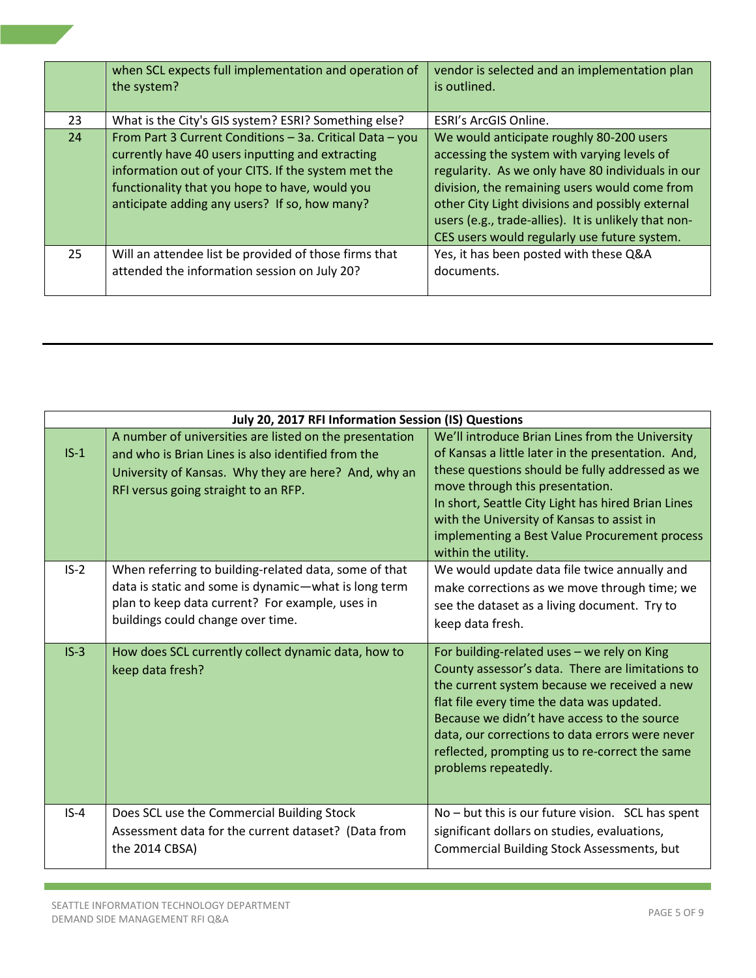|    | when SCL expects full implementation and operation of<br>the system?                                                                                                                                                                                                   | vendor is selected and an implementation plan<br>is outlined.                                                                                                                                                                                                                                                                                             |
|----|------------------------------------------------------------------------------------------------------------------------------------------------------------------------------------------------------------------------------------------------------------------------|-----------------------------------------------------------------------------------------------------------------------------------------------------------------------------------------------------------------------------------------------------------------------------------------------------------------------------------------------------------|
| 23 | What is the City's GIS system? ESRI? Something else?                                                                                                                                                                                                                   | ESRI's ArcGIS Online.                                                                                                                                                                                                                                                                                                                                     |
| 24 | From Part 3 Current Conditions - 3a. Critical Data - you<br>currently have 40 users inputting and extracting<br>information out of your CITS. If the system met the<br>functionality that you hope to have, would you<br>anticipate adding any users? If so, how many? | We would anticipate roughly 80-200 users<br>accessing the system with varying levels of<br>regularity. As we only have 80 individuals in our<br>division, the remaining users would come from<br>other City Light divisions and possibly external<br>users (e.g., trade-allies). It is unlikely that non-<br>CES users would regularly use future system. |
| 25 | Will an attendee list be provided of those firms that<br>attended the information session on July 20?                                                                                                                                                                  | Yes, it has been posted with these Q&A<br>documents.                                                                                                                                                                                                                                                                                                      |

| July 20, 2017 RFI Information Session (IS) Questions |                                                                                                                                                                                                               |                                                                                                                                                                                                                                                                                                                                                                           |
|------------------------------------------------------|---------------------------------------------------------------------------------------------------------------------------------------------------------------------------------------------------------------|---------------------------------------------------------------------------------------------------------------------------------------------------------------------------------------------------------------------------------------------------------------------------------------------------------------------------------------------------------------------------|
| $IS-1$                                               | A number of universities are listed on the presentation<br>and who is Brian Lines is also identified from the<br>University of Kansas. Why they are here? And, why an<br>RFI versus going straight to an RFP. | We'll introduce Brian Lines from the University<br>of Kansas a little later in the presentation. And,<br>these questions should be fully addressed as we<br>move through this presentation.<br>In short, Seattle City Light has hired Brian Lines<br>with the University of Kansas to assist in<br>implementing a Best Value Procurement process<br>within the utility.   |
| $IS-2$                                               | When referring to building-related data, some of that<br>data is static and some is dynamic-what is long term<br>plan to keep data current? For example, uses in<br>buildings could change over time.         | We would update data file twice annually and<br>make corrections as we move through time; we<br>see the dataset as a living document. Try to<br>keep data fresh.                                                                                                                                                                                                          |
| $IS-3$                                               | How does SCL currently collect dynamic data, how to<br>keep data fresh?                                                                                                                                       | For building-related uses - we rely on King<br>County assessor's data. There are limitations to<br>the current system because we received a new<br>flat file every time the data was updated.<br>Because we didn't have access to the source<br>data, our corrections to data errors were never<br>reflected, prompting us to re-correct the same<br>problems repeatedly. |
| $IS-4$                                               | Does SCL use the Commercial Building Stock<br>Assessment data for the current dataset? (Data from<br>the 2014 CBSA)                                                                                           | No - but this is our future vision. SCL has spent<br>significant dollars on studies, evaluations,<br>Commercial Building Stock Assessments, but                                                                                                                                                                                                                           |

 $\sim$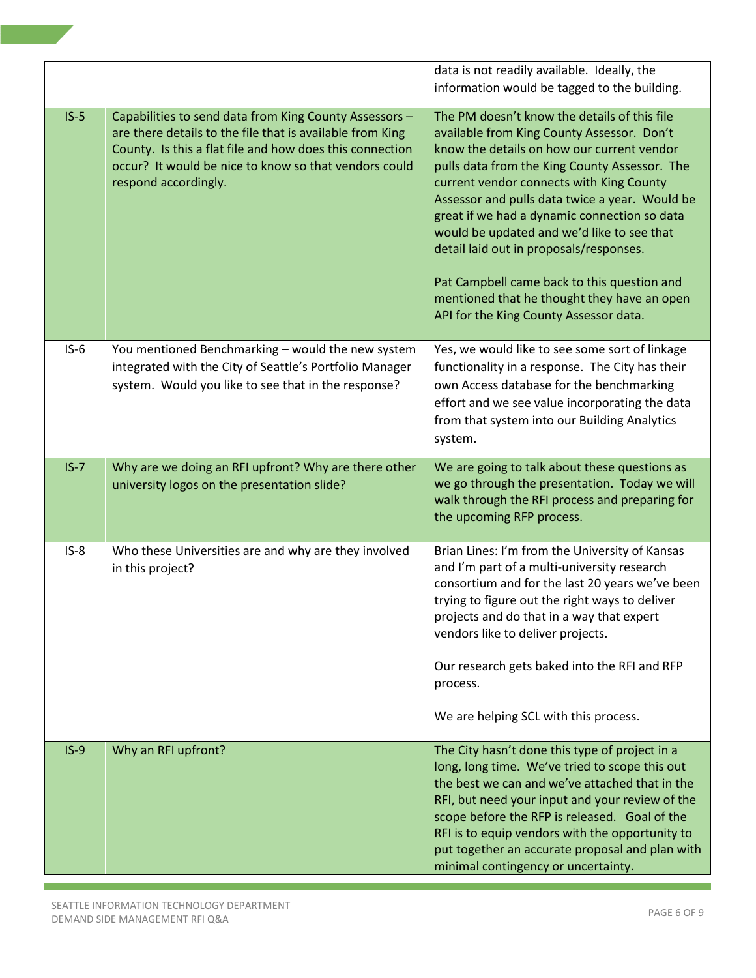|        |                                                                                                                                                                                                                                                                  | data is not readily available. Ideally, the<br>information would be tagged to the building.                                                                                                                                                                                                                                                                                                                                                                                                                                                                              |
|--------|------------------------------------------------------------------------------------------------------------------------------------------------------------------------------------------------------------------------------------------------------------------|--------------------------------------------------------------------------------------------------------------------------------------------------------------------------------------------------------------------------------------------------------------------------------------------------------------------------------------------------------------------------------------------------------------------------------------------------------------------------------------------------------------------------------------------------------------------------|
| $IS-5$ | Capabilities to send data from King County Assessors -<br>are there details to the file that is available from King<br>County. Is this a flat file and how does this connection<br>occur? It would be nice to know so that vendors could<br>respond accordingly. | The PM doesn't know the details of this file<br>available from King County Assessor. Don't<br>know the details on how our current vendor<br>pulls data from the King County Assessor. The<br>current vendor connects with King County<br>Assessor and pulls data twice a year. Would be<br>great if we had a dynamic connection so data<br>would be updated and we'd like to see that<br>detail laid out in proposals/responses.<br>Pat Campbell came back to this question and<br>mentioned that he thought they have an open<br>API for the King County Assessor data. |
| $IS-6$ | You mentioned Benchmarking - would the new system<br>integrated with the City of Seattle's Portfolio Manager<br>system. Would you like to see that in the response?                                                                                              | Yes, we would like to see some sort of linkage<br>functionality in a response. The City has their<br>own Access database for the benchmarking<br>effort and we see value incorporating the data<br>from that system into our Building Analytics<br>system.                                                                                                                                                                                                                                                                                                               |
| $IS-7$ | Why are we doing an RFI upfront? Why are there other<br>university logos on the presentation slide?                                                                                                                                                              | We are going to talk about these questions as<br>we go through the presentation. Today we will<br>walk through the RFI process and preparing for<br>the upcoming RFP process.                                                                                                                                                                                                                                                                                                                                                                                            |
| $IS-8$ | Who these Universities are and why are they involved<br>in this project?                                                                                                                                                                                         | Brian Lines: I'm from the University of Kansas<br>and I'm part of a multi-university research<br>consortium and for the last 20 years we've been<br>trying to figure out the right ways to deliver<br>projects and do that in a way that expert<br>vendors like to deliver projects.<br>Our research gets baked into the RFI and RFP<br>process.<br>We are helping SCL with this process.                                                                                                                                                                                |
| $IS-9$ | Why an RFI upfront?                                                                                                                                                                                                                                              | The City hasn't done this type of project in a<br>long, long time. We've tried to scope this out<br>the best we can and we've attached that in the<br>RFI, but need your input and your review of the<br>scope before the RFP is released. Goal of the<br>RFI is to equip vendors with the opportunity to<br>put together an accurate proposal and plan with<br>minimal contingency or uncertainty.                                                                                                                                                                      |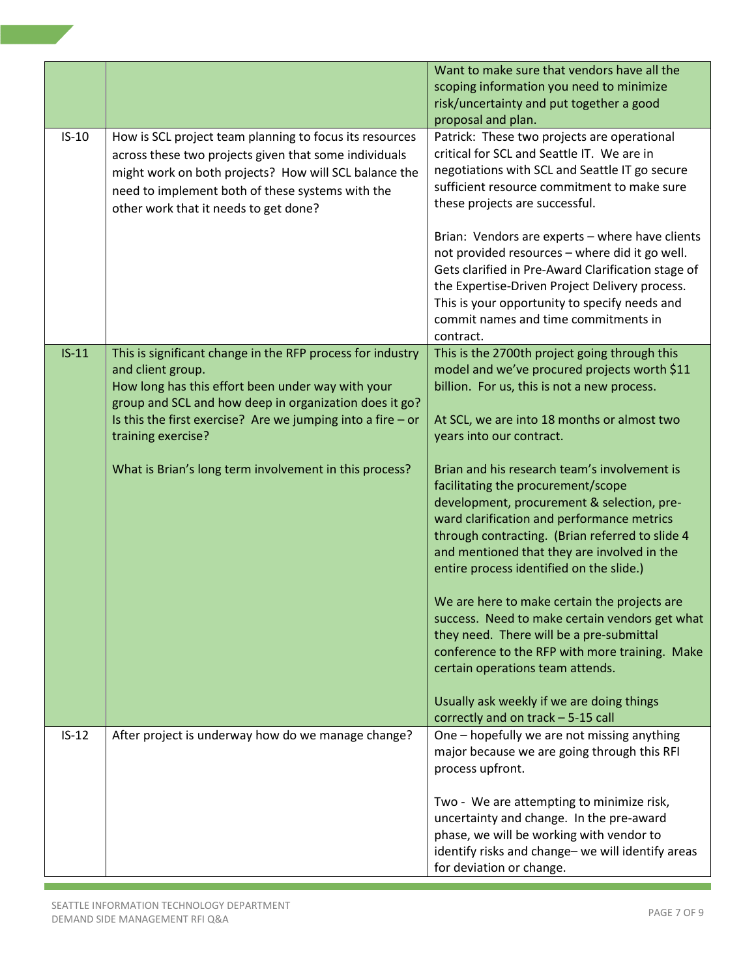|         |                                                                                                                                                                                                                                                                        | Want to make sure that vendors have all the<br>scoping information you need to minimize<br>risk/uncertainty and put together a good<br>proposal and plan.                                                                                                                                                                    |
|---------|------------------------------------------------------------------------------------------------------------------------------------------------------------------------------------------------------------------------------------------------------------------------|------------------------------------------------------------------------------------------------------------------------------------------------------------------------------------------------------------------------------------------------------------------------------------------------------------------------------|
| $IS-10$ | How is SCL project team planning to focus its resources<br>across these two projects given that some individuals<br>might work on both projects? How will SCL balance the<br>need to implement both of these systems with the<br>other work that it needs to get done? | Patrick: These two projects are operational<br>critical for SCL and Seattle IT. We are in<br>negotiations with SCL and Seattle IT go secure<br>sufficient resource commitment to make sure<br>these projects are successful.                                                                                                 |
|         |                                                                                                                                                                                                                                                                        | Brian: Vendors are experts - where have clients<br>not provided resources - where did it go well.<br>Gets clarified in Pre-Award Clarification stage of<br>the Expertise-Driven Project Delivery process.<br>This is your opportunity to specify needs and<br>commit names and time commitments in<br>contract.              |
| $IS-11$ | This is significant change in the RFP process for industry<br>and client group.<br>How long has this effort been under way with your<br>group and SCL and how deep in organization does it go?                                                                         | This is the 2700th project going through this<br>model and we've procured projects worth \$11<br>billion. For us, this is not a new process.                                                                                                                                                                                 |
|         | Is this the first exercise? Are we jumping into a fire $-$ or<br>training exercise?                                                                                                                                                                                    | At SCL, we are into 18 months or almost two<br>years into our contract.                                                                                                                                                                                                                                                      |
|         | What is Brian's long term involvement in this process?                                                                                                                                                                                                                 | Brian and his research team's involvement is<br>facilitating the procurement/scope<br>development, procurement & selection, pre-<br>ward clarification and performance metrics<br>through contracting. (Brian referred to slide 4<br>and mentioned that they are involved in the<br>entire process identified on the slide.) |
|         |                                                                                                                                                                                                                                                                        | We are here to make certain the projects are<br>success. Need to make certain vendors get what<br>they need. There will be a pre-submittal<br>conference to the RFP with more training. Make<br>certain operations team attends.                                                                                             |
|         |                                                                                                                                                                                                                                                                        | Usually ask weekly if we are doing things<br>correctly and on track - 5-15 call                                                                                                                                                                                                                                              |
| $IS-12$ | After project is underway how do we manage change?                                                                                                                                                                                                                     | One - hopefully we are not missing anything<br>major because we are going through this RFI<br>process upfront.                                                                                                                                                                                                               |
|         |                                                                                                                                                                                                                                                                        | Two - We are attempting to minimize risk,<br>uncertainty and change. In the pre-award<br>phase, we will be working with vendor to<br>identify risks and change- we will identify areas<br>for deviation or change.                                                                                                           |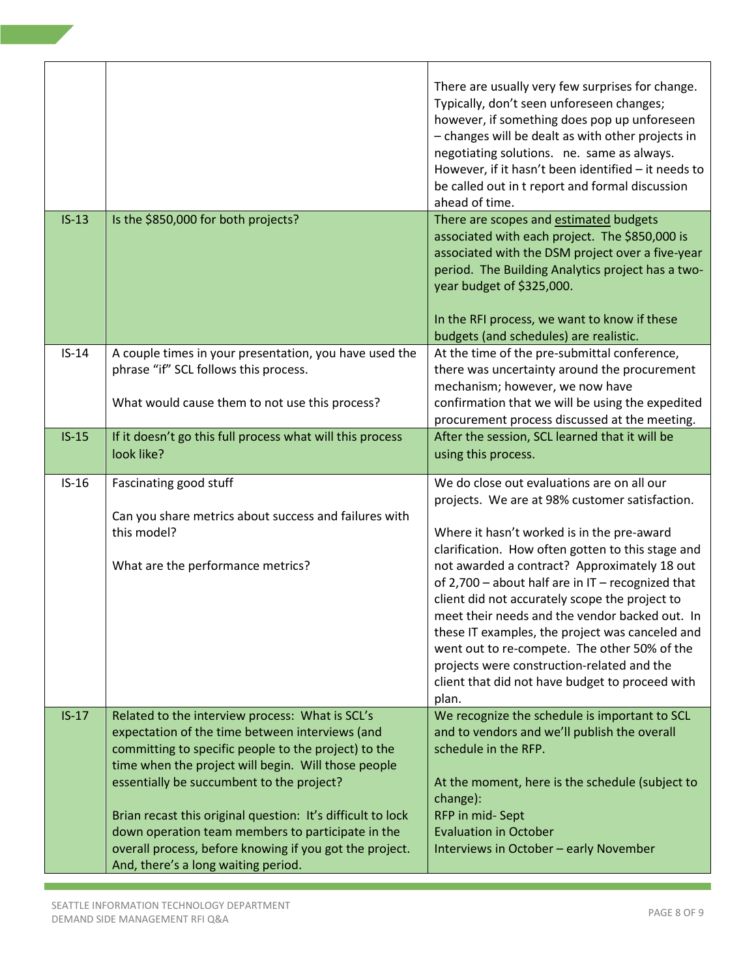|         |                                                                                                                                                   | There are usually very few surprises for change.<br>Typically, don't seen unforeseen changes;<br>however, if something does pop up unforeseen<br>- changes will be dealt as with other projects in<br>negotiating solutions. ne. same as always.<br>However, if it hasn't been identified - it needs to<br>be called out in t report and formal discussion<br>ahead of time.                                                                                                                                                                                             |
|---------|---------------------------------------------------------------------------------------------------------------------------------------------------|--------------------------------------------------------------------------------------------------------------------------------------------------------------------------------------------------------------------------------------------------------------------------------------------------------------------------------------------------------------------------------------------------------------------------------------------------------------------------------------------------------------------------------------------------------------------------|
| $IS-13$ | Is the \$850,000 for both projects?                                                                                                               | There are scopes and estimated budgets<br>associated with each project. The \$850,000 is<br>associated with the DSM project over a five-year<br>period. The Building Analytics project has a two-<br>year budget of \$325,000.<br>In the RFI process, we want to know if these<br>budgets (and schedules) are realistic.                                                                                                                                                                                                                                                 |
| $IS-14$ | A couple times in your presentation, you have used the<br>phrase "if" SCL follows this process.<br>What would cause them to not use this process? | At the time of the pre-submittal conference,<br>there was uncertainty around the procurement<br>mechanism; however, we now have<br>confirmation that we will be using the expedited                                                                                                                                                                                                                                                                                                                                                                                      |
| $IS-15$ | If it doesn't go this full process what will this process                                                                                         | procurement process discussed at the meeting.<br>After the session, SCL learned that it will be                                                                                                                                                                                                                                                                                                                                                                                                                                                                          |
|         | look like?                                                                                                                                        | using this process.                                                                                                                                                                                                                                                                                                                                                                                                                                                                                                                                                      |
|         |                                                                                                                                                   |                                                                                                                                                                                                                                                                                                                                                                                                                                                                                                                                                                          |
| $IS-16$ | Fascinating good stuff<br>Can you share metrics about success and failures with<br>this model?                                                    | We do close out evaluations are on all our<br>projects. We are at 98% customer satisfaction.                                                                                                                                                                                                                                                                                                                                                                                                                                                                             |
| $IS-17$ | What are the performance metrics?<br>Related to the interview process: What is SCL's                                                              | Where it hasn't worked is in the pre-award<br>clarification. How often gotten to this stage and<br>not awarded a contract? Approximately 18 out<br>of 2,700 - about half are in $IT$ - recognized that<br>client did not accurately scope the project to<br>meet their needs and the vendor backed out. In<br>these IT examples, the project was canceled and<br>went out to re-compete. The other 50% of the<br>projects were construction-related and the<br>client that did not have budget to proceed with<br>plan.<br>We recognize the schedule is important to SCL |